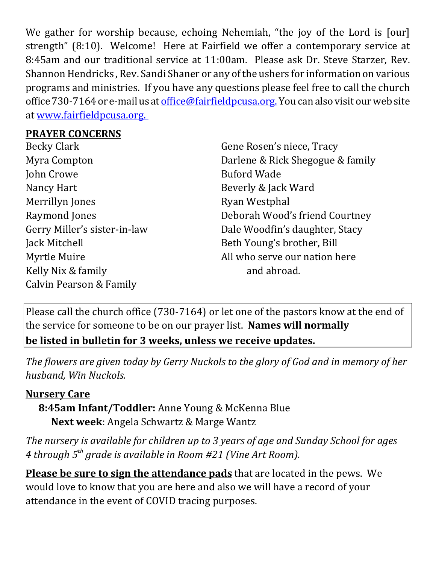We gather for worship because, echoing Nehemiah, "the joy of the Lord is [our] strength" (8:10). Welcome! Here at Fairfield we offer a contemporary service at 8:45am and our traditional service at 11:00am. Please ask Dr. Steve Starzer, Rev. Shannon Hendricks , Rev. Sandi Shaner or any of the ushers for information on various programs and ministries. If you have any questions please feel free to call the church office 730-7164 or e-mail us at office@fairfieldpcusa.org. You can also visit our web site at www.fairfieldpcusa.org.

## **PRAYER CONCERNS**

Becky Clark Myra Compton John Crowe Nancy Hart Merrillyn Jones Raymond Jones Gerry Miller's sister-in-law Jack Mitchell Myrtle Muire Kelly Nix & family Calvin Pearson & Family

Gene Rosen's niece, Tracy Darlene & Rick Shegogue & family Buford Wade Beverly & Jack Ward Ryan Westphal Deborah Wood's friend Courtney Dale Woodfin's daughter, Stacy Beth Young's brother, Bill All who serve our nation here and abroad.

Please call the church office (730-7164) or let one of the pastors know at the end of the service for someone to be on our prayer list. **Names will normally be listed in bulletin for 3 weeks, unless we receive updates.**

*The flowers are given today by Gerry Nuckols to the glory of God and in memory of her husband, Win Nuckols.*

## **Nursery Care**

**8:45am Infant/Toddler:** Anne Young & McKenna Blue **Next week**: Angela Schwartz & Marge Wantz

*The nursery is available for children up to 3 years of age and Sunday School for ages 4 through 5th grade is available in Room #21 (Vine Art Room).*

**Please be sure to sign the attendance pads** that are located in the pews. We would love to know that you are here and also we will have a record of your attendance in the event of COVID tracing purposes.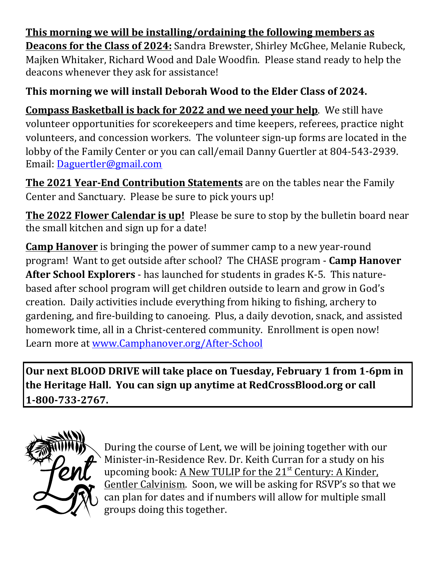**This morning we will be installing/ordaining the following members as Deacons for the Class of 2024:** Sandra Brewster, Shirley McGhee, Melanie Rubeck, Majken Whitaker, Richard Wood and Dale Woodfin. Please stand ready to help the deacons whenever they ask for assistance!

## **This morning we will install Deborah Wood to the Elder Class of 2024.**

**Compass Basketball is back for 2022 and we need your help**. We still have volunteer opportunities for scorekeepers and time keepers, referees, practice night volunteers, and concession workers. The volunteer sign-up forms are located in the lobby of the Family Center or you can call/email Danny Guertler at 804-543-2939. Email: Daguertler@gmail.com

**The 2021 Year‐End Contribution Statements** are on the tables near the Family Center and Sanctuary. Please be sure to pick yours up!

**The 2022 Flower Calendar is up!** Please be sure to stop by the bulletin board near the small kitchen and sign up for a date!

**Camp Hanover** is bringing the power of summer camp to a new year-round program! Want to get outside after school? The CHASE program - **Camp Hanover After School Explorers** - has launched for students in grades K-5. This naturebased after school program will get children outside to learn and grow in God's creation. Daily activities include everything from hiking to fishing, archery to gardening, and fire-building to canoeing. Plus, a daily devotion, snack, and assisted homework time, all in a Christ-centered community. Enrollment is open now! Learn more at www.Camphanover.org/After-School

**Our next BLOOD DRIVE will take place on Tuesday, February 1 from 1‐6pm in the Heritage Hall. You can sign up anytime at RedCrossBlood.org or call 1‐800‐733‐2767.**



During the course of Lent, we will be joining together with our Minister-in-Residence Rev. Dr. Keith Curran for a study on his upcoming book: A New TULIP for the 21<sup>st</sup> Century: A Kinder, Gentler Calvinism. Soon, we will be asking for RSVP's so that we can plan for dates and if numbers will allow for multiple small groups doing this together.